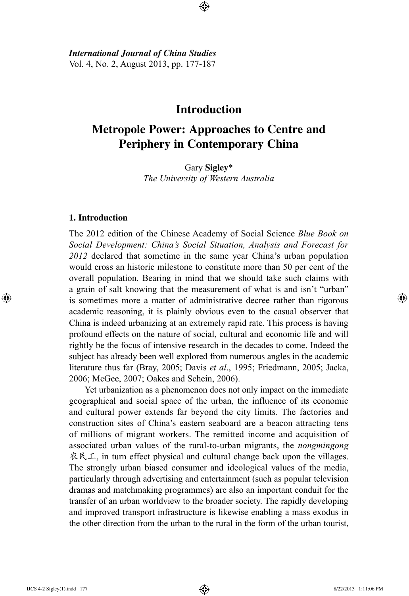# **Introduction**

⊕

# **Metropole Power: Approaches to Centre and Periphery in Contemporary China**

Gary **Sigley**\* *The University of Western Australia*

# **1. Introduction**

⊕

The 2012 edition of the Chinese Academy of Social Science *Blue Book on Social Development: China's Social Situation, Analysis and Forecast for 2012* declared that sometime in the same year China's urban population would cross an historic milestone to constitute more than 50 per cent of the overall population. Bearing in mind that we should take such claims with a grain of salt knowing that the measurement of what is and isn't "urban" is sometimes more a matter of administrative decree rather than rigorous academic reasoning, it is plainly obvious even to the casual observer that China is indeed urbanizing at an extremely rapid rate. This process is having profound effects on the nature of social, cultural and economic life and will rightly be the focus of intensive research in the decades to come. Indeed the subject has already been well explored from numerous angles in the academic literature thus far (Bray, 2005; Davis *et al*., 1995; Friedmann, 2005; Jacka, 2006; McGee, 2007; Oakes and Schein, 2006).

Yet urbanization as a phenomenon does not only impact on the immediate geographical and social space of the urban, the influence of its economic and cultural power extends far beyond the city limits. The factories and construction sites of China's eastern seaboard are a beacon attracting tens of millions of migrant workers. The remitted income and acquisition of associated urban values of the rural-to-urban migrants, the *nongmingong* 农民工, in turn effect physical and cultural change back upon the villages. The strongly urban biased consumer and ideological values of the media, particularly through advertising and entertainment (such as popular television dramas and matchmaking programmes) are also an important conduit for the transfer of an urban worldview to the broader society. The rapidly developing and improved transport infrastructure is likewise enabling a mass exodus in the other direction from the urban to the rural in the form of the urban tourist,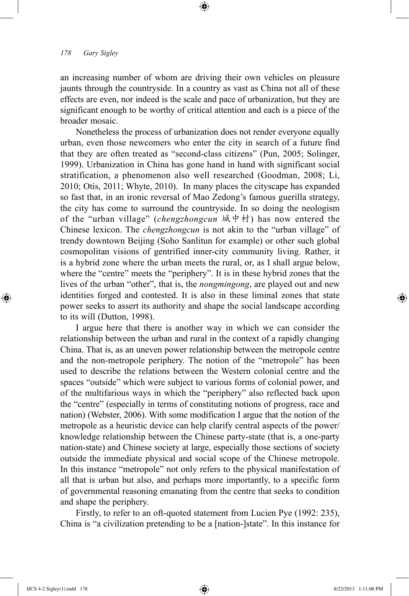an increasing number of whom are driving their own vehicles on pleasure jaunts through the countryside. In a country as vast as China not all of these effects are even, nor indeed is the scale and pace of urbanization, but they are significant enough to be worthy of critical attention and each is a piece of the broader mosaic.

⊕

Nonetheless the process of urbanization does not render everyone equally urban, even those newcomers who enter the city in search of a future find that they are often treated as "second-class citizens" (Pun, 2005; Solinger, 1999). Urbanization in China has gone hand in hand with significant social stratification, a phenomenon also well researched (Goodman, 2008; Li, 2010; Otis, 2011; Whyte, 2010). In many places the cityscape has expanded so fast that, in an ironic reversal of Mao Zedong's famous guerilla strategy, the city has come to surround the countryside. In so doing the neologism of the "urban village" (*chengzhongcun* 城中村) has now entered the Chinese lexicon. The *chengzhongcun* is not akin to the "urban village" of trendy downtown Beijing (Soho Sanlitun for example) or other such global cosmopolitan visions of gentrified inner-city community living. Rather, it is a hybrid zone where the urban meets the rural, or, as I shall argue below, where the "centre" meets the "periphery". It is in these hybrid zones that the lives of the urban "other", that is, the *nongmingong*, are played out and new identities forged and contested. It is also in these liminal zones that state power seeks to assert its authority and shape the social landscape according to its will (Dutton, 1998).

I argue here that there is another way in which we can consider the relationship between the urban and rural in the context of a rapidly changing China. That is, as an uneven power relationship between the metropole centre and the non-metropole periphery. The notion of the "metropole" has been used to describe the relations between the Western colonial centre and the spaces "outside" which were subject to various forms of colonial power, and of the multifarious ways in which the "periphery" also reflected back upon the "centre" (especially in terms of constituting notions of progress, race and nation) (Webster, 2006). With some modification I argue that the notion of the metropole as a heuristic device can help clarify central aspects of the power/ knowledge relationship between the Chinese party-state (that is, a one-party nation-state) and Chinese society at large, especially those sections of society outside the immediate physical and social scope of the Chinese metropole. In this instance "metropole" not only refers to the physical manifestation of all that is urban but also, and perhaps more importantly, to a specific form of governmental reasoning emanating from the centre that seeks to condition and shape the periphery.

Firstly, to refer to an oft-quoted statement from Lucien Pye (1992: 235), China is "a civilization pretending to be a [nation-]state". In this instance for

⊕

↔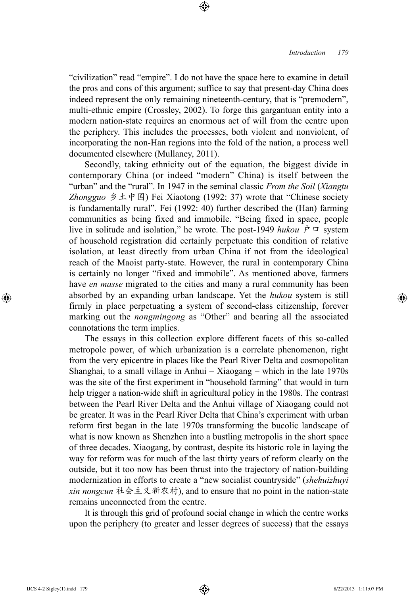"civilization" read "empire". I do not have the space here to examine in detail the pros and cons of this argument; suffice to say that present-day China does indeed represent the only remaining nineteenth-century, that is "premodern", multi-ethnic empire (Crossley, 2002). To forge this gargantuan entity into a modern nation-state requires an enormous act of will from the centre upon the periphery. This includes the processes, both violent and nonviolent, of incorporating the non-Han regions into the fold of the nation, a process well documented elsewhere (Mullaney, 2011).

⊕

Secondly, taking ethnicity out of the equation, the biggest divide in contemporary China (or indeed "modern" China) is itself between the "urban" and the "rural". In 1947 in the seminal classic *From the Soil* (*Xiangtu Zhongguo* 乡土中国) Fei Xiaotong (1992: 37) wrote that "Chinese society is fundamentally rural". Fei (1992: 40) further described the (Han) farming communities as being fixed and immobile. "Being fixed in space, people live in solitude and isolation," he wrote. The post-1949 *hukou*  $\dot{P}$   $\Box$  system of household registration did certainly perpetuate this condition of relative isolation, at least directly from urban China if not from the ideological reach of the Maoist party-state. However, the rural in contemporary China is certainly no longer "fixed and immobile". As mentioned above, farmers have *en masse* migrated to the cities and many a rural community has been absorbed by an expanding urban landscape. Yet the *hukou* system is still firmly in place perpetuating a system of second-class citizenship, forever marking out the *nongmingong* as "Other" and bearing all the associated connotations the term implies.

The essays in this collection explore different facets of this so-called metropole power, of which urbanization is a correlate phenomenon, right from the very epicentre in places like the Pearl River Delta and cosmopolitan Shanghai, to a small village in Anhui – Xiaogang – which in the late 1970s was the site of the first experiment in "household farming" that would in turn help trigger a nation-wide shift in agricultural policy in the 1980s. The contrast between the Pearl River Delta and the Anhui village of Xiaogang could not be greater. It was in the Pearl River Delta that China's experiment with urban reform first began in the late 1970s transforming the bucolic landscape of what is now known as Shenzhen into a bustling metropolis in the short space of three decades. Xiaogang, by contrast, despite its historic role in laying the way for reform was for much of the last thirty years of reform clearly on the outside, but it too now has been thrust into the trajectory of nation-building modernization in efforts to create a "new socialist countryside" (*shehuizhuyi xin nongcun* 社会主义新农村), and to ensure that no point in the nation-state remains unconnected from the centre.

It is through this grid of profound social change in which the centre works upon the periphery (to greater and lesser degrees of success) that the essays

IJCS 4-2 Sigley(1).indd 179 8/22/2013 1:11:07 PM

⊕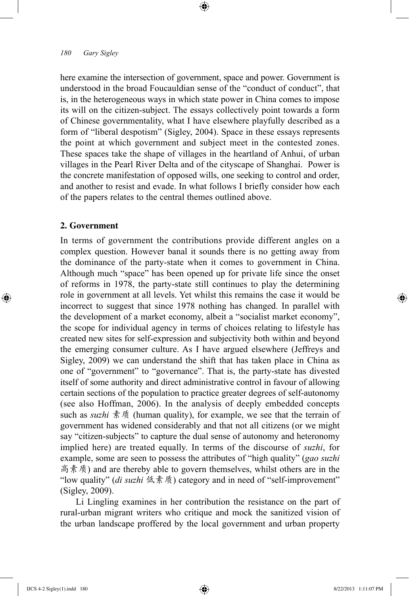here examine the intersection of government, space and power. Government is understood in the broad Foucauldian sense of the "conduct of conduct", that is, in the heterogeneous ways in which state power in China comes to impose its will on the citizen-subject. The essays collectively point towards a form of Chinese governmentality, what I have elsewhere playfully described as a form of "liberal despotism" (Sigley, 2004). Space in these essays represents the point at which government and subject meet in the contested zones. These spaces take the shape of villages in the heartland of Anhui, of urban villages in the Pearl River Delta and of the cityscape of Shanghai. Power is the concrete manifestation of opposed wills, one seeking to control and order, and another to resist and evade. In what follows I briefly consider how each of the papers relates to the central themes outlined above.

⊕

## **2. Government**

⊕

In terms of government the contributions provide different angles on a complex question. However banal it sounds there is no getting away from the dominance of the party-state when it comes to government in China. Although much "space" has been opened up for private life since the onset of reforms in 1978, the party-state still continues to play the determining role in government at all levels. Yet whilst this remains the case it would be incorrect to suggest that since 1978 nothing has changed. In parallel with the development of a market economy, albeit a "socialist market economy", the scope for individual agency in terms of choices relating to lifestyle has created new sites for self-expression and subjectivity both within and beyond the emerging consumer culture. As I have argued elsewhere (Jeffreys and Sigley, 2009) we can understand the shift that has taken place in China as one of "government" to "governance". That is, the party-state has divested itself of some authority and direct administrative control in favour of allowing certain sections of the population to practice greater degrees of self-autonomy (see also Hoffman, 2006). In the analysis of deeply embedded concepts such as *suzhi* 素质 (human quality), for example, we see that the terrain of government has widened considerably and that not all citizens (or we might say "citizen-subjects" to capture the dual sense of autonomy and heteronomy implied here) are treated equally. In terms of the discourse of *suzhi*, for example, some are seen to possess the attributes of "high quality" (*gao suzhi*  高素质) and are thereby able to govern themselves, whilst others are in the "low quality" (*di suzhi* 低素质) category and in need of "self-improvement" (Sigley, 2009).

Li Lingling examines in her contribution the resistance on the part of rural-urban migrant writers who critique and mock the sanitized vision of the urban landscape proffered by the local government and urban property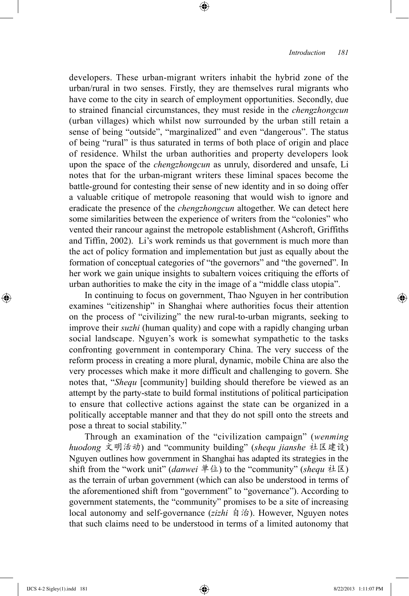developers. These urban-migrant writers inhabit the hybrid zone of the urban/rural in two senses. Firstly, they are themselves rural migrants who have come to the city in search of employment opportunities. Secondly, due to strained financial circumstances, they must reside in the *chengzhongcun* (urban villages) which whilst now surrounded by the urban still retain a sense of being "outside", "marginalized" and even "dangerous". The status of being "rural" is thus saturated in terms of both place of origin and place of residence. Whilst the urban authorities and property developers look upon the space of the *chengzhongcun* as unruly, disordered and unsafe, Li notes that for the urban-migrant writers these liminal spaces become the battle-ground for contesting their sense of new identity and in so doing offer a valuable critique of metropole reasoning that would wish to ignore and eradicate the presence of the *chengzhongcun* altogether. We can detect here some similarities between the experience of writers from the "colonies" who vented their rancour against the metropole establishment (Ashcroft, Griffiths and Tiffin, 2002). Li's work reminds us that government is much more than the act of policy formation and implementation but just as equally about the formation of conceptual categories of "the governors" and "the governed". In her work we gain unique insights to subaltern voices critiquing the efforts of urban authorities to make the city in the image of a "middle class utopia".

⊕

In continuing to focus on government, Thao Nguyen in her contribution examines "citizenship" in Shanghai where authorities focus their attention on the process of "civilizing" the new rural-to-urban migrants, seeking to improve their *suzhi* (human quality) and cope with a rapidly changing urban social landscape. Nguyen's work is somewhat sympathetic to the tasks confronting government in contemporary China. The very success of the reform process in creating a more plural, dynamic, mobile China are also the very processes which make it more difficult and challenging to govern. She notes that, "*Shequ* [community] building should therefore be viewed as an attempt by the party-state to build formal institutions of political participation to ensure that collective actions against the state can be organized in a politically acceptable manner and that they do not spill onto the streets and pose a threat to social stability."

Through an examination of the "civilization campaign" (*wenming huodong* 文明活动) and "community building" (*shequ jianshe* 社区建设) Nguyen outlines how government in Shanghai has adapted its strategies in the shift from the "work unit" (*danwei* 单位) to the "community" (*shequ* 社区) as the terrain of urban government (which can also be understood in terms of the aforementioned shift from "government" to "governance"). According to government statements, the "community" promises to be a site of increasing local autonomy and self-governance (*zizhi* 自治). However, Nguyen notes that such claims need to be understood in terms of a limited autonomy that

⊕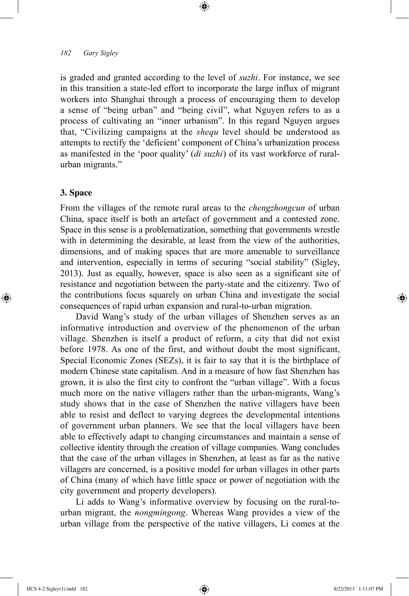is graded and granted according to the level of *suzhi*. For instance, we see in this transition a state-led effort to incorporate the large influx of migrant workers into Shanghai through a process of encouraging them to develop a sense of "being urban" and "being civil", what Nguyen refers to as a process of cultivating an "inner urbanism". In this regard Nguyen argues that, "Civilizing campaigns at the *shequ* level should be understood as attempts to rectify the 'deficient' component of China's urbanization process as manifested in the 'poor quality' (*di suzhi*) of its vast workforce of ruralurban migrants."

⊕

# **3. Space**

⊕

From the villages of the remote rural areas to the *chengzhongcun* of urban China, space itself is both an artefact of government and a contested zone. Space in this sense is a problematization, something that governments wrestle with in determining the desirable, at least from the view of the authorities, dimensions, and of making spaces that are more amenable to surveillance and intervention, especially in terms of securing "social stability" (Sigley, 2013). Just as equally, however, space is also seen as a significant site of resistance and negotiation between the party-state and the citizenry. Two of the contributions focus squarely on urban China and investigate the social consequences of rapid urban expansion and rural-to-urban migration.

David Wang's study of the urban villages of Shenzhen serves as an informative introduction and overview of the phenomenon of the urban village. Shenzhen is itself a product of reform, a city that did not exist before 1978. As one of the first, and without doubt the most significant, Special Economic Zones (SEZs), it is fair to say that it is the birthplace of modern Chinese state capitalism. And in a measure of how fast Shenzhen has grown, it is also the first city to confront the "urban village". With a focus much more on the native villagers rather than the urban-migrants, Wang's study shows that in the case of Shenzhen the native villagers have been able to resist and deflect to varying degrees the developmental intentions of government urban planners. We see that the local villagers have been able to effectively adapt to changing circumstances and maintain a sense of collective identity through the creation of village companies. Wang concludes that the case of the urban villages in Shenzhen, at least as far as the native villagers are concerned, is a positive model for urban villages in other parts of China (many of which have little space or power of negotiation with the city government and property developers).

Li adds to Wang's informative overview by focusing on the rural-tourban migrant, the *nongmingong*. Whereas Wang provides a view of the urban village from the perspective of the native villagers, Li comes at the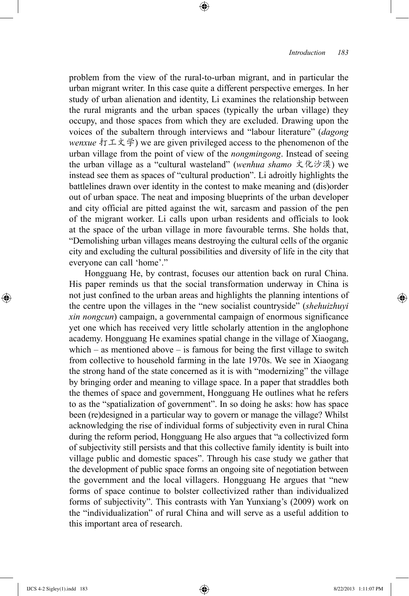problem from the view of the rural-to-urban migrant, and in particular the urban migrant writer. In this case quite a different perspective emerges. In her study of urban alienation and identity, Li examines the relationship between the rural migrants and the urban spaces (typically the urban village) they occupy, and those spaces from which they are excluded. Drawing upon the voices of the subaltern through interviews and "labour literature" (*dagong wenxue* 打工文学) we are given privileged access to the phenomenon of the urban village from the point of view of the *nongmingong*. Instead of seeing the urban village as a "cultural wasteland" (*wenhua shamo* 文化沙漠) we instead see them as spaces of "cultural production". Li adroitly highlights the battlelines drawn over identity in the contest to make meaning and (dis)order out of urban space. The neat and imposing blueprints of the urban developer and city official are pitted against the wit, sarcasm and passion of the pen of the migrant worker. Li calls upon urban residents and officials to look at the space of the urban village in more favourable terms. She holds that, "Demolishing urban villages means destroying the cultural cells of the organic city and excluding the cultural possibilities and diversity of life in the city that everyone can call 'home'."

⊕

Hongguang He, by contrast, focuses our attention back on rural China. His paper reminds us that the social transformation underway in China is not just confined to the urban areas and highlights the planning intentions of the centre upon the villages in the "new socialist countryside" (*shehuizhuyi xin nongcun*) campaign, a governmental campaign of enormous significance yet one which has received very little scholarly attention in the anglophone academy. Hongguang He examines spatial change in the village of Xiaogang, which – as mentioned above – is famous for being the first village to switch from collective to household farming in the late 1970s. We see in Xiaogang the strong hand of the state concerned as it is with "modernizing" the village by bringing order and meaning to village space. In a paper that straddles both the themes of space and government, Hongguang He outlines what he refers to as the "spatialization of government". In so doing he asks: how has space been (re)designed in a particular way to govern or manage the village? Whilst acknowledging the rise of individual forms of subjectivity even in rural China during the reform period, Hongguang He also argues that "a collectivized form of subjectivity still persists and that this collective family identity is built into village public and domestic spaces". Through his case study we gather that the development of public space forms an ongoing site of negotiation between the government and the local villagers. Hongguang He argues that "new forms of space continue to bolster collectivized rather than individualized forms of subjectivity". This contrasts with Yan Yunxiang's (2009) work on the "individualization" of rural China and will serve as a useful addition to this important area of research.

⊕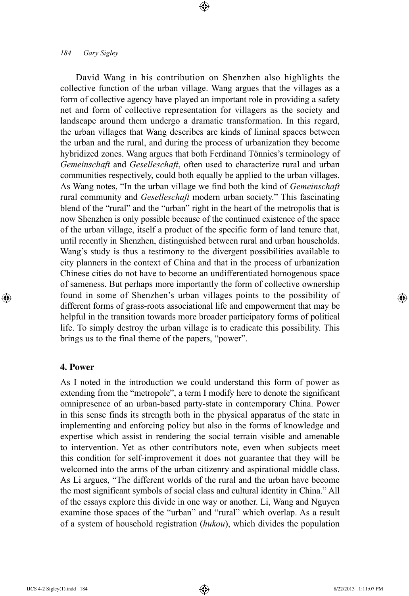David Wang in his contribution on Shenzhen also highlights the collective function of the urban village. Wang argues that the villages as a form of collective agency have played an important role in providing a safety net and form of collective representation for villagers as the society and landscape around them undergo a dramatic transformation. In this regard, the urban villages that Wang describes are kinds of liminal spaces between the urban and the rural, and during the process of urbanization they become hybridized zones. Wang argues that both Ferdinand Tönnies's terminology of *Gemeinschaft* and *Geselleschaft*, often used to characterize rural and urban communities respectively, could both equally be applied to the urban villages. As Wang notes, "In the urban village we find both the kind of *Gemeinschaft* rural community and *Geselleschaft* modern urban society." This fascinating blend of the "rural" and the "urban" right in the heart of the metropolis that is now Shenzhen is only possible because of the continued existence of the space of the urban village, itself a product of the specific form of land tenure that, until recently in Shenzhen, distinguished between rural and urban households. Wang's study is thus a testimony to the divergent possibilities available to city planners in the context of China and that in the process of urbanization Chinese cities do not have to become an undifferentiated homogenous space of sameness. But perhaps more importantly the form of collective ownership found in some of Shenzhen's urban villages points to the possibility of different forms of grass-roots associational life and empowerment that may be helpful in the transition towards more broader participatory forms of political life. To simply destroy the urban village is to eradicate this possibility. This brings us to the final theme of the papers, "power".

⊕

# **4. Power**

⊕

As I noted in the introduction we could understand this form of power as extending from the "metropole", a term I modify here to denote the significant omnipresence of an urban-based party-state in contemporary China. Power in this sense finds its strength both in the physical apparatus of the state in implementing and enforcing policy but also in the forms of knowledge and expertise which assist in rendering the social terrain visible and amenable to intervention. Yet as other contributors note, even when subjects meet this condition for self-improvement it does not guarantee that they will be welcomed into the arms of the urban citizenry and aspirational middle class. As Li argues, "The different worlds of the rural and the urban have become the most significant symbols of social class and cultural identity in China." All of the essays explore this divide in one way or another. Li, Wang and Nguyen examine those spaces of the "urban" and "rural" which overlap. As a result of a system of household registration (*hukou*), which divides the population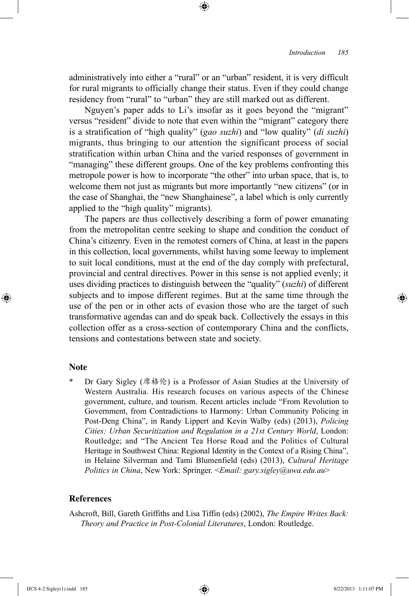administratively into either a "rural" or an "urban" resident, it is very difficult for rural migrants to officially change their status. Even if they could change residency from "rural" to "urban" they are still marked out as different.

⊕

Nguyen's paper adds to Li's insofar as it goes beyond the "migrant" versus "resident" divide to note that even within the "migrant" category there is a stratification of "high quality" (*gao suzhi*) and "low quality" (*di suzhi*) migrants, thus bringing to our attention the significant process of social stratification within urban China and the varied responses of government in "managing" these different groups. One of the key problems confronting this metropole power is how to incorporate "the other" into urban space, that is, to welcome them not just as migrants but more importantly "new citizens" (or in the case of Shanghai, the "new Shanghainese", a label which is only currently applied to the "high quality" migrants).

The papers are thus collectively describing a form of power emanating from the metropolitan centre seeking to shape and condition the conduct of China's citizenry. Even in the remotest corners of China, at least in the papers in this collection, local governments, whilst having some leeway to implement to suit local conditions, must at the end of the day comply with prefectural, provincial and central directives. Power in this sense is not applied evenly; it uses dividing practices to distinguish between the "quality" (*suzhi*) of different subjects and to impose different regimes. But at the same time through the use of the pen or in other acts of evasion those who are the target of such transformative agendas can and do speak back. Collectively the essays in this collection offer as a cross-section of contemporary China and the conflicts, tensions and contestations between state and society.

### **Note**

⊕

Dr Gary Sigley (席格伦) is a Professor of Asian Studies at the University of Western Australia. His research focuses on various aspects of the Chinese government, culture, and tourism. Recent articles include "From Revolution to Government, from Contradictions to Harmony: Urban Community Policing in Post-Deng China", in Randy Lippert and Kevin Walby (eds) (2013), *Policing Cities: Urban Securitization and Regulation in a 21st Century World*, London: Routledge; and "The Ancient Tea Horse Road and the Politics of Cultural Heritage in Southwest China: Regional Identity in the Context of a Rising China", in Helaine Silverman and Tami Blumenfield (eds) (2013), *Cultural Heritage Politics in China*, New York: Springer. <*Email: gary.sigley@uwa.edu.au*>

## **References**

Ashcroft, Bill, Gareth Griffiths and Lisa Tiffin (eds) (2002), *The Empire Writes Back: Theory and Practice in Post-Colonial Literatures*, London: Routledge.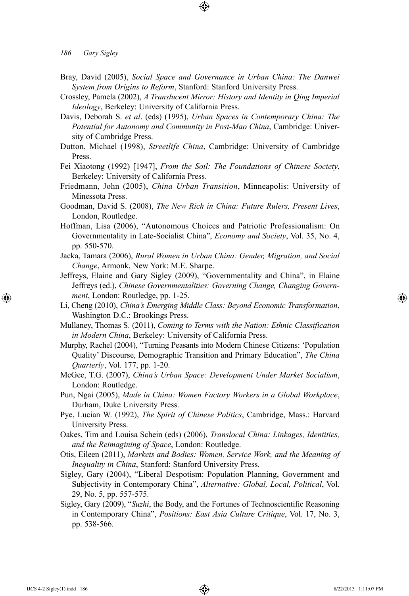Bray, David (2005), *Social Space and Governance in Urban China: The Danwei System from Origins to Reform*, Stanford: Stanford University Press.

⊕

- Crossley, Pamela (2002), *A Translucent Mirror: History and Identity in Qing Imperial Ideology*, Berkeley: University of California Press.
- Davis, Deborah S. *et al*. (eds) (1995), *Urban Spaces in Contemporary China: The Potential for Autonomy and Community in Post-Mao China*, Cambridge: University of Cambridge Press.
- Dutton, Michael (1998), *Streetlife China*, Cambridge: University of Cambridge Press.
- Fei Xiaotong (1992) [1947], *From the Soil: The Foundations of Chinese Society*, Berkeley: University of California Press.
- Friedmann, John (2005), *China Urban Transition*, Minneapolis: University of Minessota Press.
- Goodman, David S. (2008), *The New Rich in China: Future Rulers, Present Lives*, London, Routledge.
- Hoffman, Lisa (2006), "Autonomous Choices and Patriotic Professionalism: On Governmentality in Late-Socialist China", *Economy and Society*, Vol. 35, No. 4, pp. 550-570.
- Jacka, Tamara (2006), *Rural Women in Urban China: Gender, Migration, and Social Change*, Armonk, New York: M.E. Sharpe.
- Jeffreys, Elaine and Gary Sigley (2009), "Governmentality and China", in Elaine Jeffreys (ed.), *Chinese Governmentalities: Governing Change, Changing Government*, London: Routledge, pp. 1-25.
- Li, Cheng (2010), *China's Emerging Middle Class: Beyond Economic Transformation*, Washington D.C.: Brookings Press.
- Mullaney, Thomas S. (2011), *Coming to Terms with the Nation: Ethnic Classification in Modern China*, Berkeley: University of California Press.
- Murphy, Rachel (2004), "Turning Peasants into Modern Chinese Citizens: 'Population Quality' Discourse, Demographic Transition and Primary Education", *The China Quarterly*, Vol. 177, pp. 1-20.
- McGee, T.G. (2007), *China's Urban Space: Development Under Market Socialism*, London: Routledge.
- Pun, Ngai (2005), *Made in China: Women Factory Workers in a Global Workplace*, Durham, Duke University Press.
- Pye, Lucian W. (1992), *The Spirit of Chinese Politics*, Cambridge, Mass.: Harvard University Press.
- Oakes, Tim and Louisa Schein (eds) (2006), *Translocal China: Linkages, Identities, and the Reimagining of Space*, London: Routledge.
- Otis, Eileen (2011), *Markets and Bodies: Women, Service Work, and the Meaning of Inequality in China*, Stanford: Stanford University Press.
- Sigley, Gary (2004), "Liberal Despotism: Population Planning, Government and Subjectivity in Contemporary China", *Alternative: Global, Local, Political*, Vol. 29, No. 5, pp. 557-575.
- Sigley, Gary (2009), "*Suzhi*, the Body, and the Fortunes of Technoscientific Reasoning in Contemporary China", *Positions: East Asia Culture Critique*, Vol. 17, No. 3, pp. 538-566.

IJCS 4-2 Sigley(1).indd 186 8/22/2013 1:11:07 PM

⊕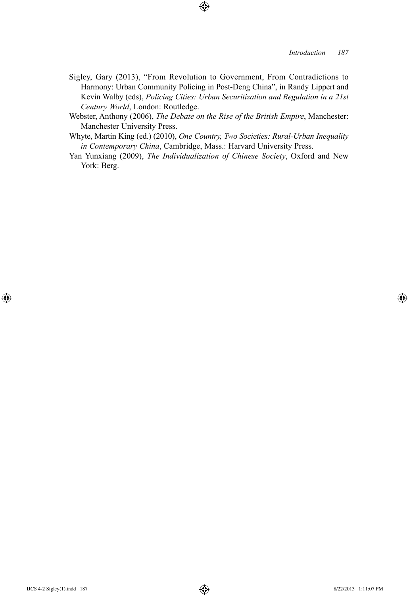### *Introduction 187*

Sigley, Gary (2013), "From Revolution to Government, From Contradictions to Harmony: Urban Community Policing in Post-Deng China", in Randy Lippert and Kevin Walby (eds), *Policing Cities: Urban Securitization and Regulation in a 21st Century World*, London: Routledge.

 $\bigoplus$ 

- Webster, Anthony (2006), *The Debate on the Rise of the British Empire*, Manchester: Manchester University Press.
- Whyte, Martin King (ed.) (2010), *One Country, Two Societies: Rural-Urban Inequality in Contemporary China*, Cambridge, Mass.: Harvard University Press.
- Yan Yunxiang (2009), *The Individualization of Chinese Society*, Oxford and New York: Berg.

⊕